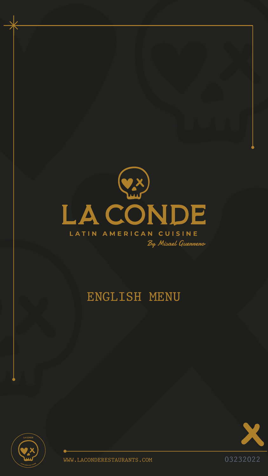

# LATIN AMERICAN CUISINE

By Misael Guenneno

# ENGLISH MENU





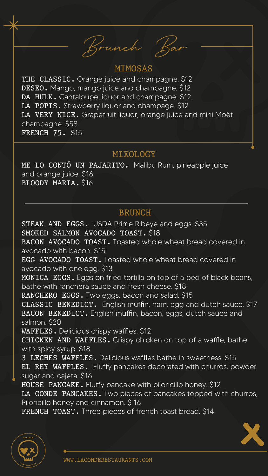# MIMOSAS

THE CLASSIC. Orange juice and champagne. \$12 DESEO. Mango, mango juice and champagne. \$12 DA HULK. Cantaloupe liquor and champagne. \$12 LA POPIS. Strawberry liquor and champage. \$12 LA VERY NICE. Grapefruit liquor, orange juice and mini Moët champagne. \$58 FRENCH 75. \$15

# BRUNCH

# MIXOLOGY

Brunch Bar

ME LO CONTÓ UN PAJARITO. Malibu Rum, pineapple juice and orange juice. \$16 BLOODY MARIA. \$16

STEAK AND EGGS. USDA Prime Ribeye and eggs. \$35 SMOKED SALMON AVOCADO TOAST. \$18 BACON AVOCADO TOAST. Toasted whole wheat bread covered in avocado with bacon. \$15 EGG AVOCADO TOAST. Toasted whole wheat bread covered in avocado with one egg. \$13 MONICA EGGS. Eggs on fried tortilla on top of a bed of black beans, bathe with ranchera sauce and fresh cheese. \$18 RANCHERO EGGS. Two eggs, bacon and salad. \$15 CLASSIC BENEDICT. English muffin, ham, egg and dutch sauce. \$17 BACON BENEDICT. English muffin, bacon, eggs, dutch sauce and salmon. \$20 WAFFLES. Delicious crispy waffles. \$12 CHICKEN AND WAFFLES. Crispy chicken on top of a waffle, bathe with spicy syrup. \$18 3 LECHES WAFFLES. Delicious waffles bathe in sweetness. \$15 EL REY WAFFLES. Fluffy pancakes decorated with churros, powder sugar and cajeta. \$16 HOUSE PANCAKE. Fluffy pancake with piloncillo honey. \$12 LA CONDE PANCAKES. Two pieces of pancakes topped with churros, Piloncillo honey and cinnamon. \$ 16 FRENCH TOAST. Three pieces of french toast bread. \$14



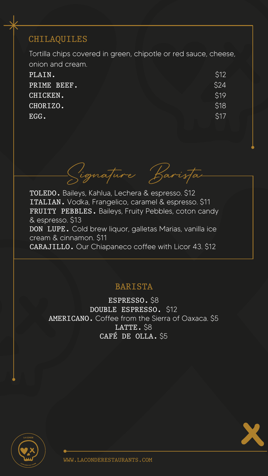# BARISTA

# CHILAQUILES

Tortilla chips covered in green, chipotle or red sauce, cheese, onion and cream. PLAIN. PRIME BEEF. CHICKEN. CHORIZO. \$12 \$24 \$19 \$18

EGG.

Signature Baris

\$17



ESPRESSO. \$8 DOUBLE ESPRESSO. \$12 AMERICANO. Coffee from the Sierra of Oaxaca. \$5 LATTE. \$8 CAFÉ DE OLLA. \$5



TOLEDO. Baileys, Kahlua, Lechera & espresso. \$12 ITALIAN. Vodka, Frangelico, caramel & espresso. \$11 FRUITY PEBBLES. Baileys, Fruity Pebbles, coton candy & espresso. \$13 DON LUPE. Cold brew liquor, galletas Marias, vanilla ice cream & cinnamon. \$11 CARAJILLO. Our Chiapaneco coffee with Licor 43. \$12